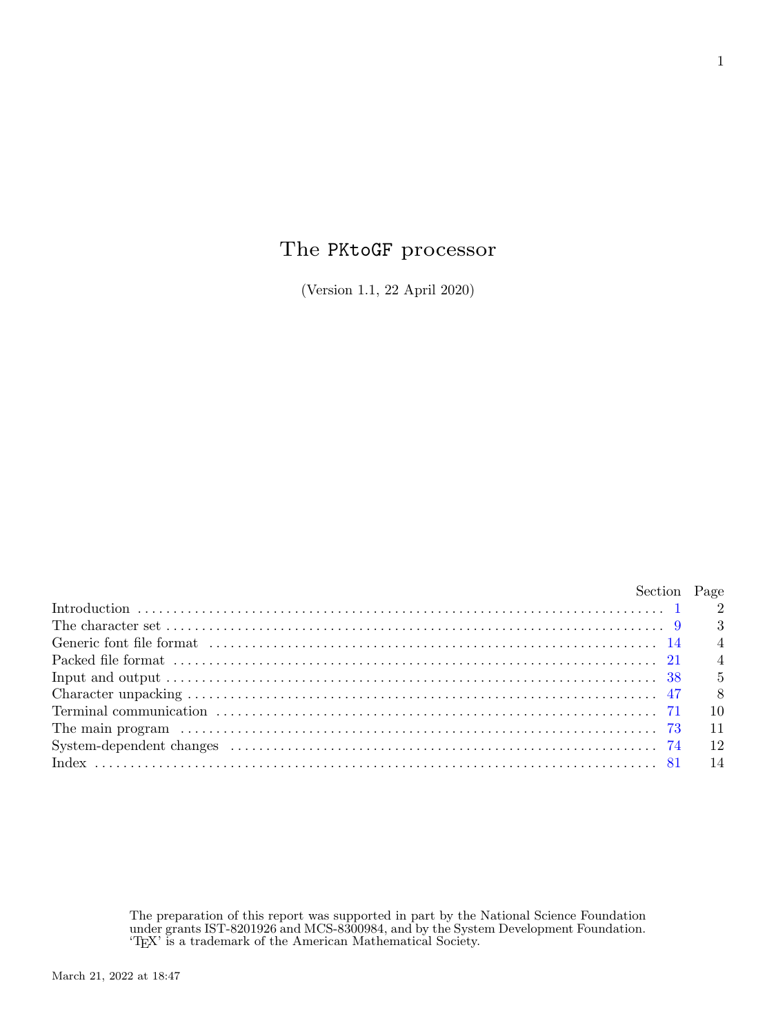# The PKtoGF processor

(Version 1.1, 22 April 2020)

| Section Page |                 |
|--------------|-----------------|
|              |                 |
|              |                 |
|              |                 |
|              |                 |
|              |                 |
|              | 8 <sup>1</sup>  |
|              | $\overline{10}$ |
|              | 11              |
|              | 12              |
|              | 14              |

The preparation of this report was supported in part by the National Science Foundation under grants IST-8201926 and MCS-8300984, and by the System Development Foundation. 'TEX' is a trademark of the American Mathematical Society.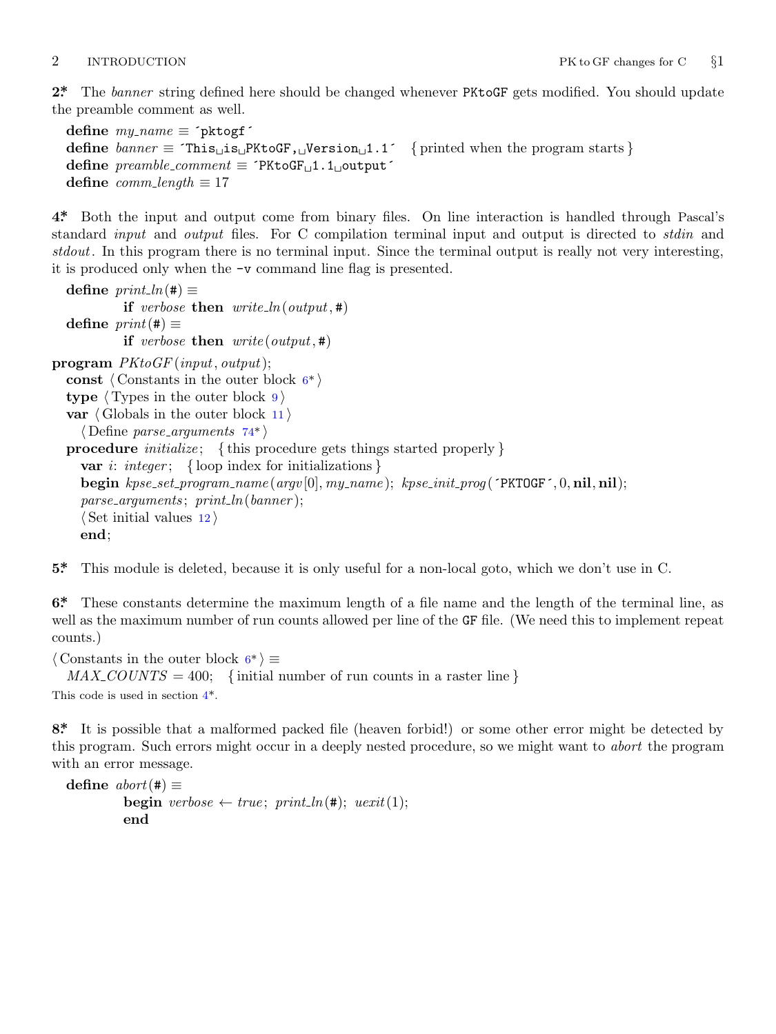<span id="page-1-0"></span>**2\*.** The *banner* string defined here should be changed whenever PKtoGF gets modified. You should update the preamble comment as well.

```
define \, my_name \equiv 'pttogf'define banner ≡ ´This␣is␣PKtoGF,␣Version␣1.1´ { printed when the program starts }
define preamble comment ≡ ´PKtoGF␣1.1␣output´
define comm\_length \equiv 17
```
**4\*.** Both the input and output come from binary files. On line interaction is handled through Pascal's standard *input* and *output* files. For C compilation terminal input and output is directed to *stdin* and *stdout*. In this program there is no terminal input. Since the terminal output is really not very interesting, it is produced only when the −v command line flag is presented.

 $\text{define } print\_ln(\texttt{\#}) \equiv$ **if** *verbose* **then**  $write\_ln(output, \#)$  $\text{define } print(\texttt{\#}) \equiv$ **if** *verbose* **then**  $write(output, \#)$  $write(output, \#)$  $write(output, \#)$ **program** *PKtoGF* (*input, output*); **const** *⟨* Constants in the outer block 6\* *⟩* **type** *⟨* Types in the outer block 9 *⟩* **var** *⟨* Globals in the outer block 11 *⟩ ⟨* Define *parse arguments* 74\* *⟩* **procedure** *initialize* ; *{* this procedure gets things started properly *}* **var** *i*: *integer* ; *{* loop index for initializations *}* **begin** *kpse set program name* (*argv* [0]*, my name* ); *kpse init prog* (´PKTOGF´*,* 0*,* **nil***,* **nil**); *parse arguments* ; *print ln*(*banner* ); *⟨* Set initial values 12 *⟩* **end**;

**5\*.** This module is deleted, because it is only useful for a non-local goto, which we don't use in C.

**6\*.** These constants determine the maximum length of a file name and the length of the terminal line, as well as the maximum number of run counts allowed per line of the GF file. (We need this to implement repeat counts.)

```
⟨ Constants in the outer block 6* ⟩ ≡
```
 $MAX\_COUNTS = 400;$  {initial number of run counts in a raster line } This code is used in section 4\*.

**8\*.** It is possible that a malformed packed file (heaven forbid!) or some other error might be detected by this program. Such errors might occur in a deeply nested procedure, so we might want to *abort* the program with an error message.

**define**  $abort$  (#)  $\equiv$ **begin**  $verpose \leftarrow true; print\_ln(\#); uexit(1);$ **end**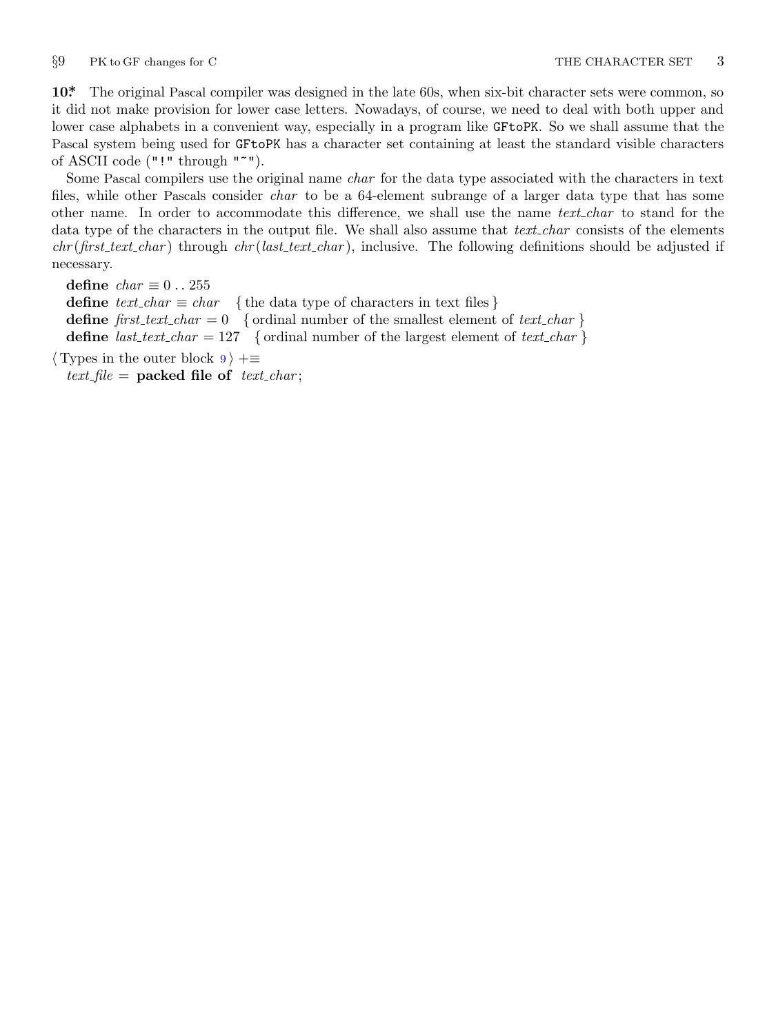<span id="page-2-0"></span>

**10\*.** The original Pascal compiler was designed in the late 60s, when six-bit character sets were common, so it did not make provision for lower case letters. Nowadays, of course, we need to deal with both upper and lower case alphabets in a convenient way, especially in a program like GFtoPK. So we shall assume that the Pascal system being used for GFtoPK has a character set containing at least the standard visible characters of ASCII code ("!" through "~").

Some Pascal compilers use the original name *char* for the data type associated with the characters in text files, while other Pascals consider *char* to be a 64-element subrange of a larger data type that has some other name. In order to accommodate this difference, we shall use the name *text char* to stand for the data type of the characters in the output file. We shall also assume that *text char* consists of the elements *chr* (*first text char* ) through *chr* (*last text char* ), inclusive. The following definitions should be adjusted if necessary.

**define**  $char \equiv 0 \ldots 255$ **define**  $text\_text\_char \leq char$  { the data type of characters in text files } **define**  $first\_text\_char = 0$  { ordinal number of the smallest element of  $text\_char}$ } **define**  $last\_text\_char = 127$  {ordinal number of the largest element of  $text\_char}$ }

*⟨* Types in the outer block 9 *⟩* +*≡*  $text$ *file* = **packed file of**  $text$ *text\_char*;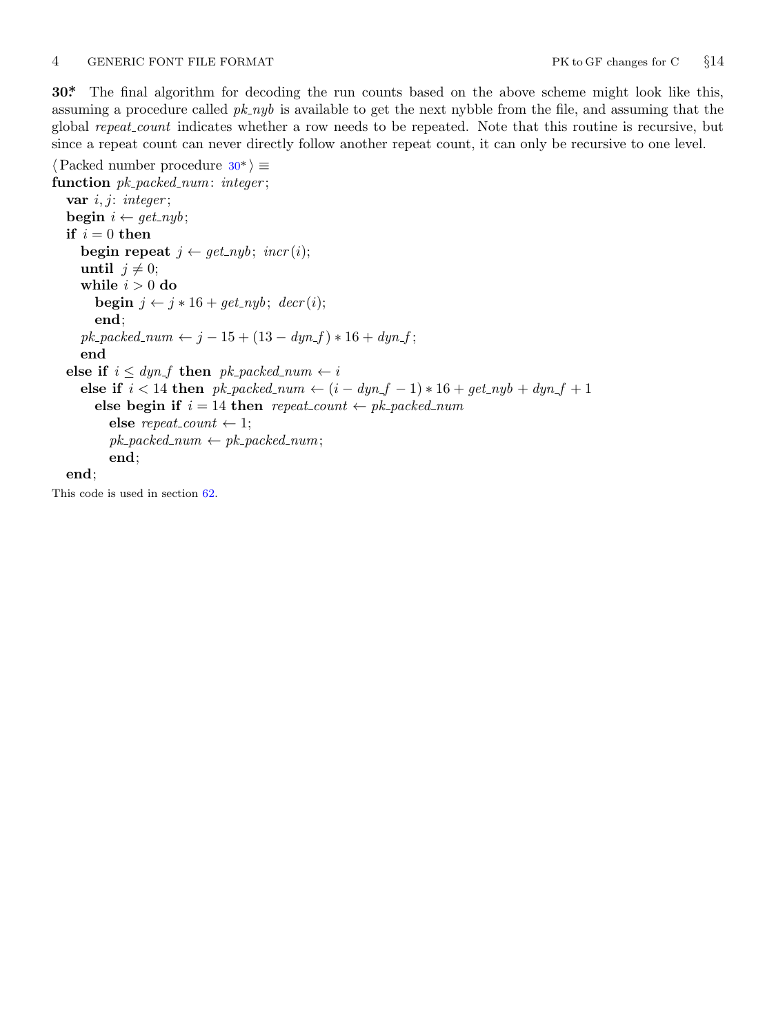### <span id="page-3-0"></span>4 GENERIC FONT FILE FORMAT PK to GF changes for C *§*14

**30\*.** The final algorithm for decoding the run counts based on the above scheme might look like this, assuming a procedure called  $pk_nyb$  is available to get the next nybble from the file, and assuming that the global *repeat count* indicates whether a row needs to be repeated. Note that this routine is recursive, but since a repeat count can never directly follow another repeat count, it can only be recursive to one level.

*⟨*Packed number procedure 30\* *⟩ ≡* **function** *pk packed num*: *integer* ; **var** *i, j*: *integer* ; **begin**  $i \leftarrow get\_nyb$ ; **if**  $i = 0$  **then begin repeat**  $j \leftarrow get\_nyb$ ;  $\text{incr}(i)$ ; **until**  $j \neq 0$ ; **while**  $i > 0$  **do begin**  $j \leftarrow j * 16 + get\_nyb$ ;  $decr(i)$ ; **end**;  $pk\_ packed\_num \leftarrow j - 15 + (13 - dyn\_f) * 16 + dyn\_f$ ; **end else if**  $i \leq dyn_f$  **then**  $pk\_packet\_num \leftarrow i$ **else if**  $i < 14$  **then**  $pk\_ packed\_num \leftarrow (i - dyn\_f - 1) * 16 + get\_nyb + dyn\_f + 1$ **else begin if**  $i = 14$  **then**  $repeat\_count \leftarrow pk\_packet\_num$ **else** *repeat\_count*  $\leftarrow$  1;  $pk$  *packed\_num*  $\leftarrow pk$  *packed\_num*; **end**;

### **end**;

This code is used in section 62.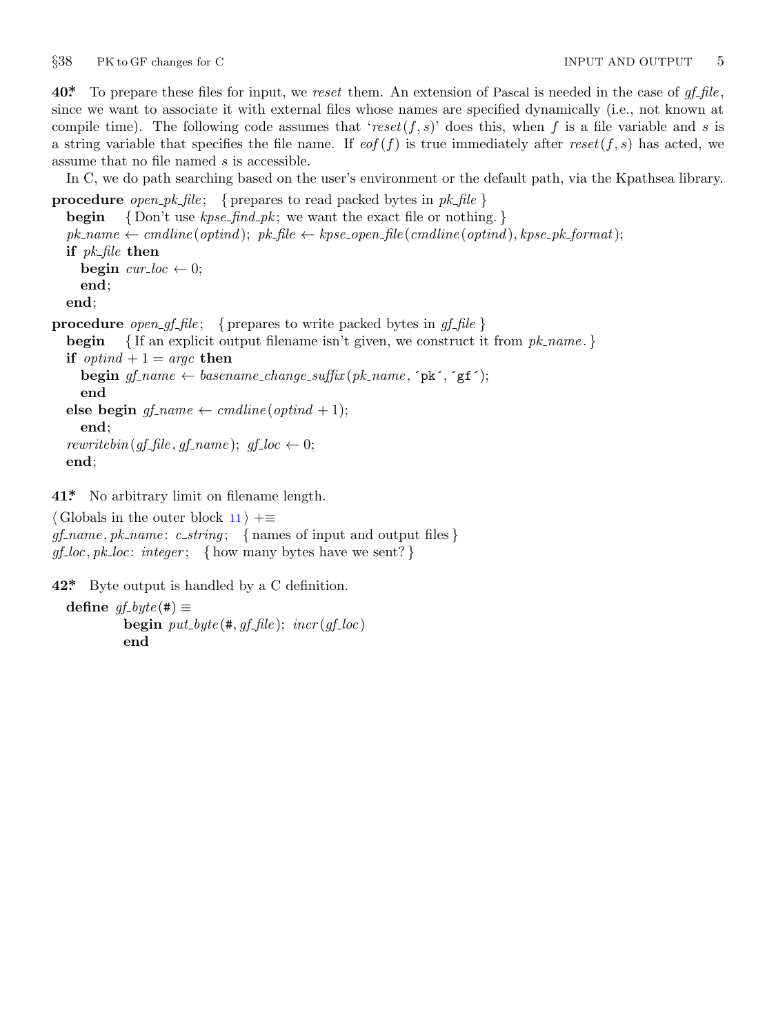<span id="page-4-0"></span>*§*38 PK to GF changes for C INPUT AND OUTPUT 5

**40\*.** To prepare these files for input, we *reset* them. An extension of Pascal is needed in the case of *gf file* , since we want to associate it with external files whose names are specified dynamically (i.e., not known at compile time). The following code assumes that '*reset*(*f, s*)' does this, when *f* is a file variable and *s* is a string variable that specifies the file name. If  $\epsilon$  (*f*) is true immediately after  $\epsilon$  *reset*(*f, s*) has acted, we assume that no file named *s* is accessible.

In C, we do path searching based on the user's environment or the default path, via the Kpathsea library.

**procedure** *open\_pk\_file*; { prepares to read packed bytes in  $pk\_file$ } **begin** *{* Don't use *kpse find pk* ; we want the exact file or nothing. *}*  $pk\_name \leftarrow cmdline (optind);$   $pk\_file \leftarrow kpse\_open\_file (cmdline (optind), kpse\_pk\_format);$ **if** *pk file* **then begin**  $cur\_loc \leftarrow 0$ ; **end**; **end**; **procedure** *open\_gf\_file*; { prepares to write packed bytes in  $gf$ \_file } **begin** *{* If an explicit output filename isn't given, we construct it from *pk name* . *}* **if**  $optind + 1 = \text{argc}$  **then begin**  $gf$ <sub>-name</sub>  $\leftarrow$  *basename\_change\_suffix* ( $pk$ -*name*,  $\lceil pk \rceil$ ,  $\lceil gf \rceil$ ); **end else begin**  $gf\_name \leftarrow \text{c}$ *mdline*( $\text{optind} + 1$ ); **end**;

*rewritebin*( $gf$ <sup> $f$ </sup>*file*, $gf$ *-name*);  $gf$ <sup> $f$ </sup>*-loc*  $\leftarrow$  0; **end**;

**41\*.** No arbitrary limit on filename length.

*⟨* Globals in the outer block 11 *⟩* +*≡ gf name , pk name* : *c string* ; *{* names of input and output files *}*  $gf\_loc, pk\_loc: integer;$  {how many bytes have we sent?}

**42\*.** Byte output is handled by a C definition.

```
\text{define } gf\_byte(\texttt{\#}) \equivbegin put\_byte(\text{#}, qf_{\textit{+}}file); incr(qf_{\textit{+}}loc)end
```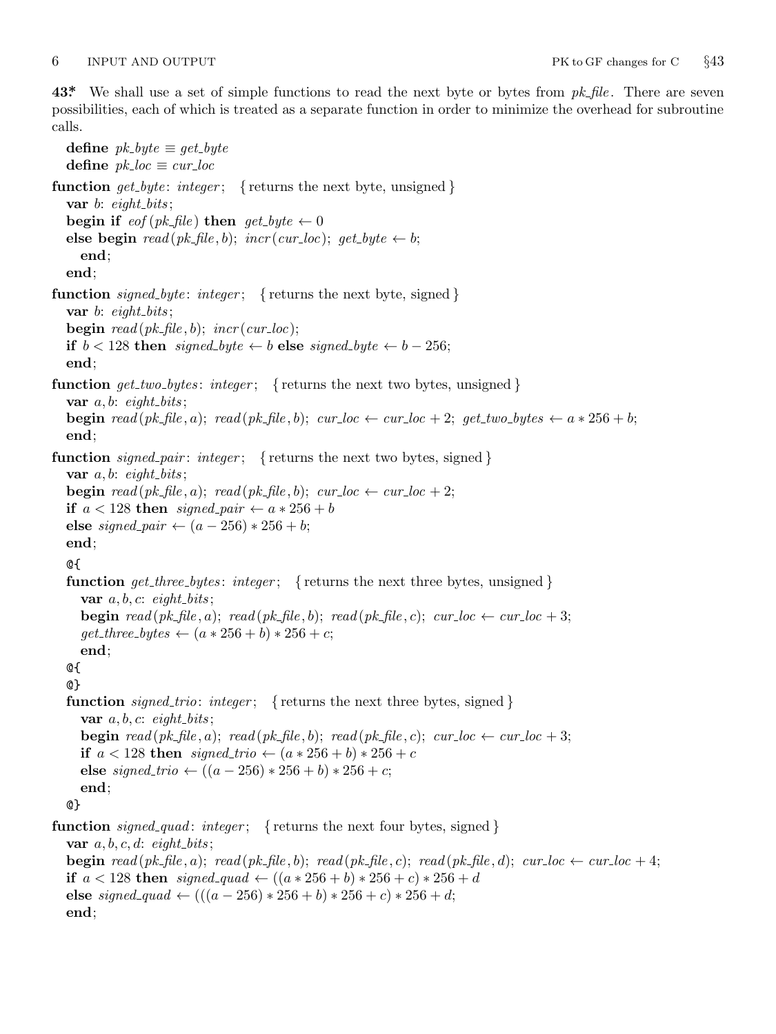<span id="page-5-0"></span>**43\*.** We shall use a set of simple functions to read the next byte or bytes from *pk file* . There are seven possibilities, each of which is treated as a separate function in order to minimize the overhead for subroutine calls.

**define**  $pk\_byte \equiv get\_byte$ **define**  $pk\_loc \equiv cur\_loc$ **function**  $get\_byte: integer;$  { returns the next byte, unsigned } **var** *b*: *eight\_bits*; **begin if**  $\text{eof}(pk\text{-file})$  **then**  $\text{get\_byte} \leftarrow 0$ **else begin**  $read(pk$ *-file*, *b*);  $incr(cur\_loc)$ ;  $get\_byte \leftarrow b$ ; **end**; **end**; **function**  $signed\_byte: integer;$  { returns the next byte, signed } **var** *b*: *eight bits* ; **begin**  $read(pk$ *-file*, *b*);  $incr(cur$ *-loc*); **if**  $b < 128$  **then** *signed\_byte*  $\leftarrow b$  **else** *signed\_byte*  $\leftarrow b - 256$ ; **end**; **function** *get two bytes* : *integer* ; *{* returns the next two bytes, unsigned *}* **var**  $a, b$ : *eight\_bits*; **begin** read(pk\_file,a); read(pk\_file,b); cur\_loc  $\leftarrow$  cur\_loc + 2; get\_two\_bytes  $\leftarrow a * 256 + b$ ; **end**; **function** *signed\_pair*: *integer*; { returns the next two bytes, signed } **var**  $a, b$ : *eight\_bits*; **begin**  $read(pk$   $\text{file}, a)$ ;  $read(pk$   $\text{file}, b)$ ;  $cur$   $\text{loc} \leftarrow cur$   $\text{loc} + 2$ ; **if**  $a < 128$  **then**  $signed\_pair \leftarrow a * 256 + b$ **else** *signed\_pair*  $\leftarrow (a - 256) * 256 + b$ ; **end**; @{ **function**  $get\_three\_bytes:$  *integer*; {returns the next three bytes, unsigned } **var**  $a, b, c$ :  $\epsilon$ *ight\_bits*; **begin**  $read(pk$   $fhle, a)$ ;  $read(pk$   $fhle, b)$ ;  $read(pk$   $fhle, c)$ ;  $cur\_loc \leftarrow cur\_loc + 3$ ;  $get\_three\_bytes \leftarrow (a * 256 + b) * 256 + c;$ **end**; @{ @} **function**  $\text{signed\_trio: integer}$ ; {returns the next three bytes, signed } **var**  $a, b, c$ : *eight\_bits*; **begin**  $read(pk$   $fhle, a)$ ;  $read(pk$   $fhle, b)$ ;  $read(pk$   $fhle, c)$ ;  $cur\_loc \leftarrow cur\_loc + 3$ ; **if**  $a < 128$  **then**  $signed\_trio \leftarrow (a * 256 + b) * 256 + c$ **else** *signed\_trio* ←  $((a - 256) * 256 + b) * 256 + c;$ **end**; @} **function** *signed quad* : *integer* ; *{* returns the next four bytes, signed *}* **var**  $a, b, c, d$ :  $\epsilon$ *ight\_bits*; **begin** read(pk\_file, a); read(pk\_file, b); read(pk\_file, c); read(pk\_file, d); cur\_loc  $\leftarrow$  cur\_loc + 4; **if**  $a < 128$  **then**  $signed\_quad \left( (a * 256 + b) * 256 + c \right) * 256 + d$ **else**  $signed\_quad \leftarrow (((a - 256) * 256 + b) * 256 + c) * 256 + d;$ **end**;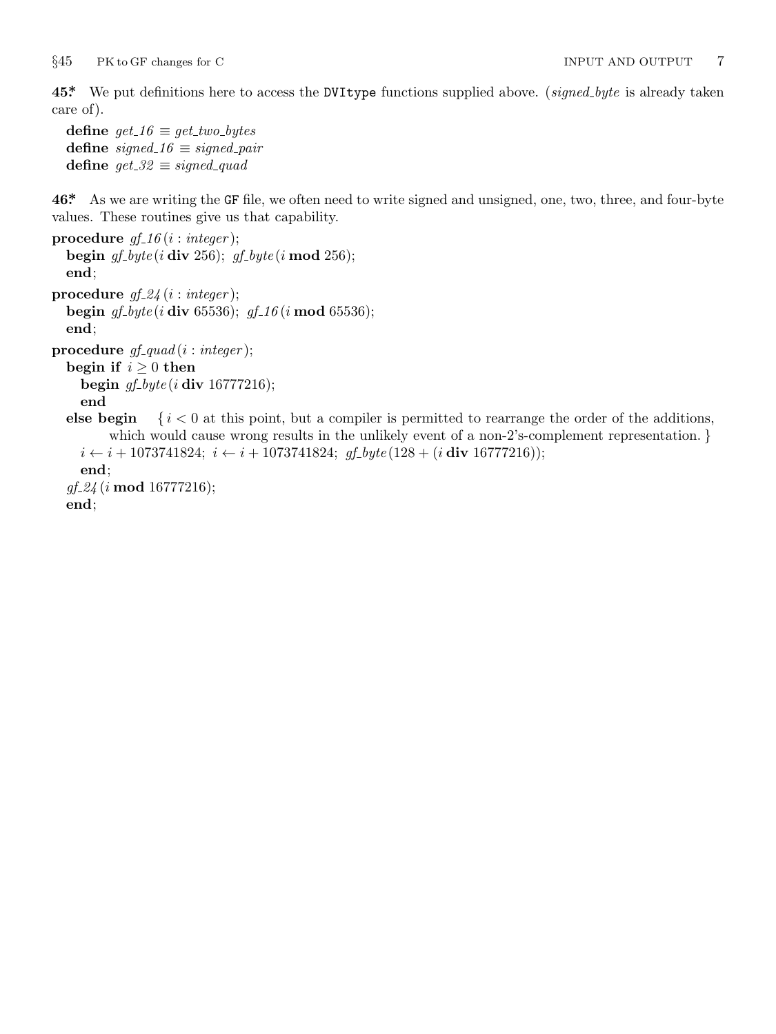<span id="page-6-0"></span>**45\*.** We put definitions here to access the DVItype functions supplied above. (*signed byte* is already taken care of).

```
define get_1 6 \equiv get\_two_b define signed\_16 \equiv signed\_pairdefine get\_32 \equiv signed\_quad
```
**46\*.** As we are writing the GF file, we often need to write signed and unsigned, one, two, three, and four-byte values. These routines give us that capability.

```
procedure gf_1 16 (i : integer);
  begin gf byte (i div 256); gf byte (i mod 256);
  end;
procedure gf 24 (i : integer );
  begin gf byte (i div 65536); gf 16 (i mod 65536);
  end;
procedure gf quad (i : integer );
  begin if i \geq 0 then
    begin gf byte (i div 16777216);
    end
  else begin \{i \leq 0 \text{ at this point, but a compiler is permitted to rearrange the order of the additions,which would cause wrong results in the unlikely event of a non-2's-complement representation. }
    i ← i + 1073741824; i ← i + 1073741824; gf_byte(128 + (i div 16777216));
    end;
  gf 24 (i mod 16777216);
```
**end**;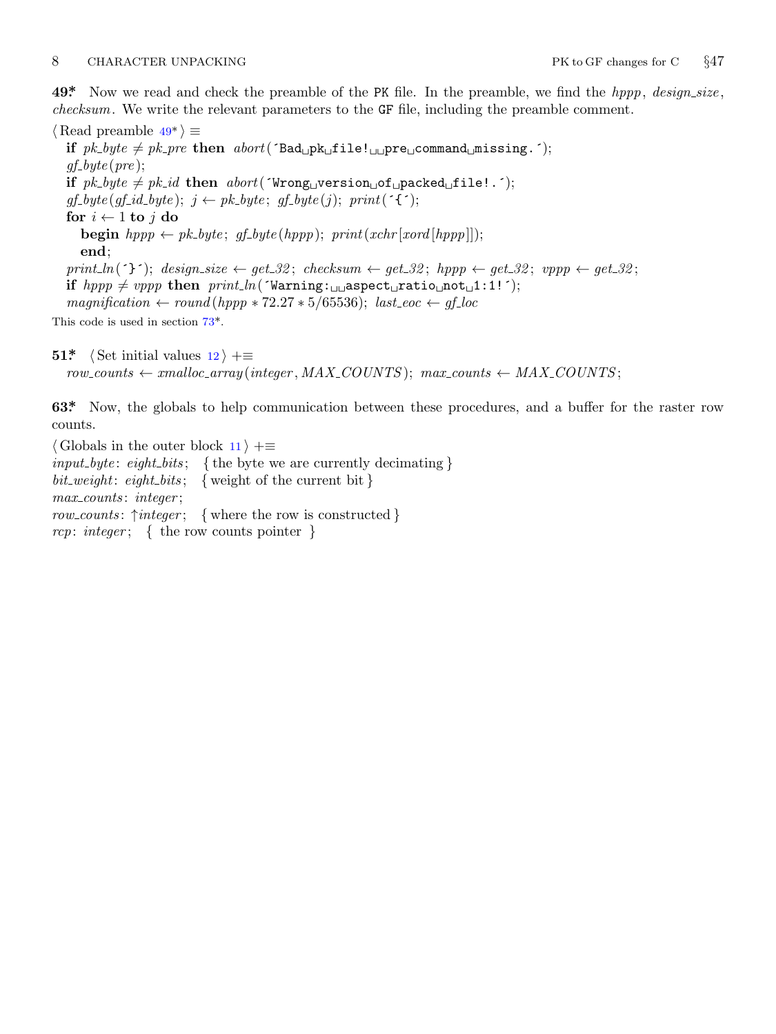# <span id="page-7-0"></span>8 CHARACTER UNPACKING PK to GF changes for C  $\S 47$

**49\*.** Now we read and check the preamble of the PK file. In the preamble, we find the *hppp*, *design size* , *checksum*. We write the relevant parameters to the GF file, including the preamble comment.

*⟨* Read preamble 49\* *⟩ ≡* **if**  $pk\_byte \neq pk\_pre$  **then**  $abort('Bad<sub>□</sub>pk<sub>□</sub>file!_{□}pre<sub>□</sub>command<sub>□</sub>missing.');$ *gf byte* (*pre* ); if  $pk\_byte \neq pk\_id$  then  $abort('Wrong\_\text{version}\_\text{of\_packed}\_\text{ifile}$ !.<sup>-</sup>);  $gf\_byte(gf\_id\_byte); j \leftarrow pk\_byte; gf\_byte(j); print('{}');$ **for**  $i \leftarrow 1$  **to**  $j$  **do begin**  $hppp \leftarrow pk\_byte$ ;  $gf\_byte(hppp)$ ;  $print(xchr[xord[hppp]])$ ; **end**;  $print\ln(5^{\circ})$ ;  $design\_size \leftarrow get\_32$ ;  $check{sw} \leftarrow get\_32$ ;  $hppp \leftarrow get\_32$ ;  $vppp \leftarrow get\_32$ ; **if**  $hppp \neq vppp$  **then**  $print\_ln('Warning: \square_1)$  aspect<sub> $\sqcup$ </sub>ratio $\sqcup$ not $\sqcup$ 1:1!´);  $magnification \leftarrow round(hppp * 72.27 * 5/65536); last\_eoc \leftarrow gf\_loc$ This code is used in section 73\*.

**51\***  $\langle$  Set initial values 12  $\rangle$  + $\equiv$ 

 $row\_counts \leftarrow smalloc\_array(integer, MAX\_COUNTS); max\_counts \leftarrow MAX\_COUNTS;$ 

**63\*.** Now, the globals to help communication between these procedures, and a buffer for the raster row counts.

*⟨* Globals in the outer block 11 *⟩* +*≡ input byte* : *eight bits* ; *{* the byte we are currently decimating *} bit weight*: *eight bits* ; *{* weight of the current bit *} max counts* : *integer* ; *row counts* : *↑integer* ; *{* where the row is constructed *} rcp*: *integer* ; *{* the row counts pointer *}*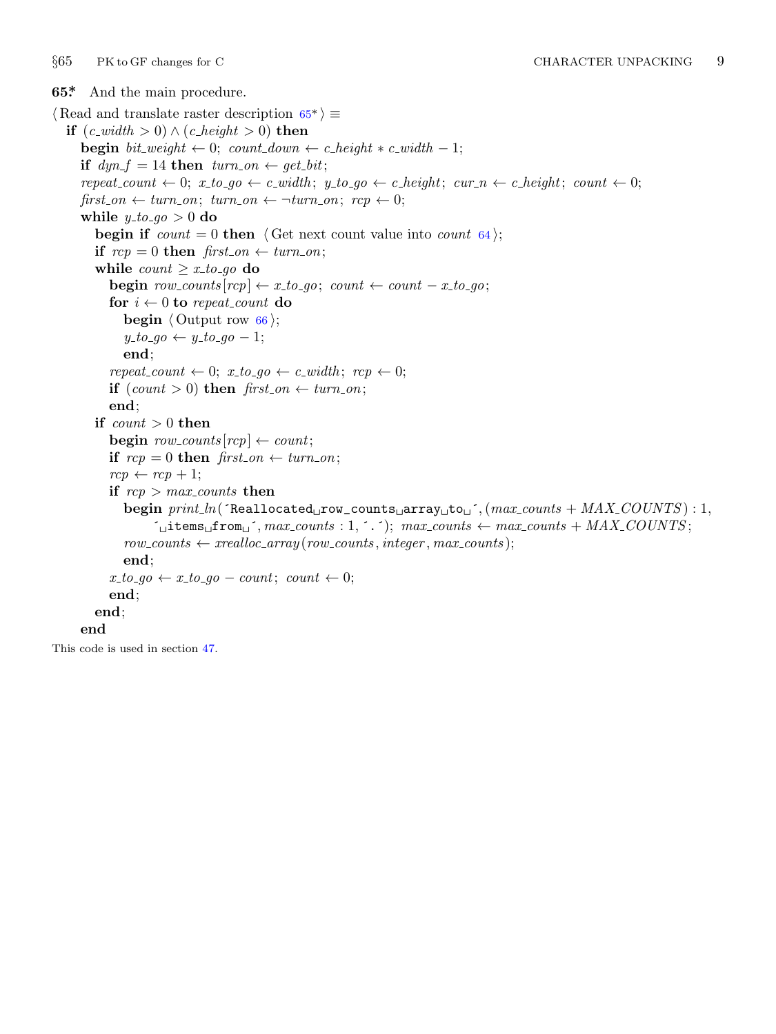<span id="page-8-0"></span>

**65\*.** And the main procedure. *⟨* Read and translate raster description 65\* *⟩ ≡* **if**  $(c\_width > 0) ∧ (c\_height > 0)$  **then begin**  $bit\_weight \leftarrow 0$ ;  $count\_down \leftarrow c\_height * c\_width - 1$ ; **if**  $dyn_f = 14$  **then**  $turn_0n \leftarrow get_bit$ ;  $repeat\_count \leftarrow 0; x_to_go \leftarrow c\_width; y_to_go \leftarrow c\_height; cur_n \leftarrow c\_height; count \leftarrow 0;$ *first\_on*  $\leftarrow$  *turn\_on*; *turn\_on*  $\leftarrow$   $\neg turn\_on$ ; *rcp*  $\leftarrow$  0; **while**  $y\text{-}to\text{-}go > 0$  **do begin if**  $count = 0$  **then**  $\langle$  Get next count value into *count* 64 $\rangle$ ; **if**  $rep = 0$  **then**  $first\_on \leftarrow turn\_on$ ; **while**  $count \geq x\_to\_go$  **do begin**  $row\text{-}counts[rcp] \leftarrow x\_to\_go$ ;  $count \leftarrow count - x\_to\_go$ ; **for**  $i \leftarrow 0$  **to** *repeat\_count* **do begin**  $\langle$  Output row  $66 \rangle$ ;  $y\_to\_go \leftarrow y\_to\_go - 1;$ **end**; *repeat\_count*  $\leftarrow 0$ ;  $x\_to\_go \leftarrow c\_width$ ;  $rcp \leftarrow 0$ ; **if**  $(count > 0)$  **then**  $first\_on \leftarrow turn\_on$ ; **end**; **if** *count >* 0 **then**  $\text{begin } row\_counts[rcp] \leftarrow count;$ **if**  $rep = 0$  **then**  $first\_on \leftarrow turn\_on$ ;  $rcp \leftarrow rcp + 1$ ; **if**  $rcp$  *>*  $max\_counts$  **then begin** *print ln*(´Reallocated␣row\_counts␣array␣to␣´*,*(*max counts* + *MAX COUNTS* ) : 1*,*  $\sim$ <sup> $\sim$ </sup> $\sim$ **items** $\sim$ from $\sim$ <sup> $\sim$ </sup>, *max counts* : 1*,*  $\sim$  *c*); *max counts*  $\leftarrow$  *max counts* + *MAX COUNTS*;  $row\_counts \leftarrow \text{} \leftarrow \text{} \leftarrow \text{} \leftarrow \text{} \leftarrow \text{} \leftarrow \text{} \leftarrow \text{} \leftarrow \text{} \leftarrow \text{} \leftarrow \text{} \leftarrow \text{} \leftarrow \text{} \leftarrow \text{} \leftarrow \text{} \leftarrow \text{} \leftarrow \text{} \leftarrow \text{} \leftarrow \text{} \leftarrow \text{} \leftarrow \text{} \leftarrow \text{} \leftarrow \text{} \leftarrow \text{} \leftarrow \text{} \leftarrow \text{} \leftarrow \text{} \leftarrow \text{} \leftarrow \text{} \leftarrow \text{} \leftarrow \text{} \leftarrow \text{}$ **end**;  $x\_to\_go \leftarrow x\_to\_go - count$ ;  $count \leftarrow 0$ ; **end**; **end**; **end**

This code is used in section 47.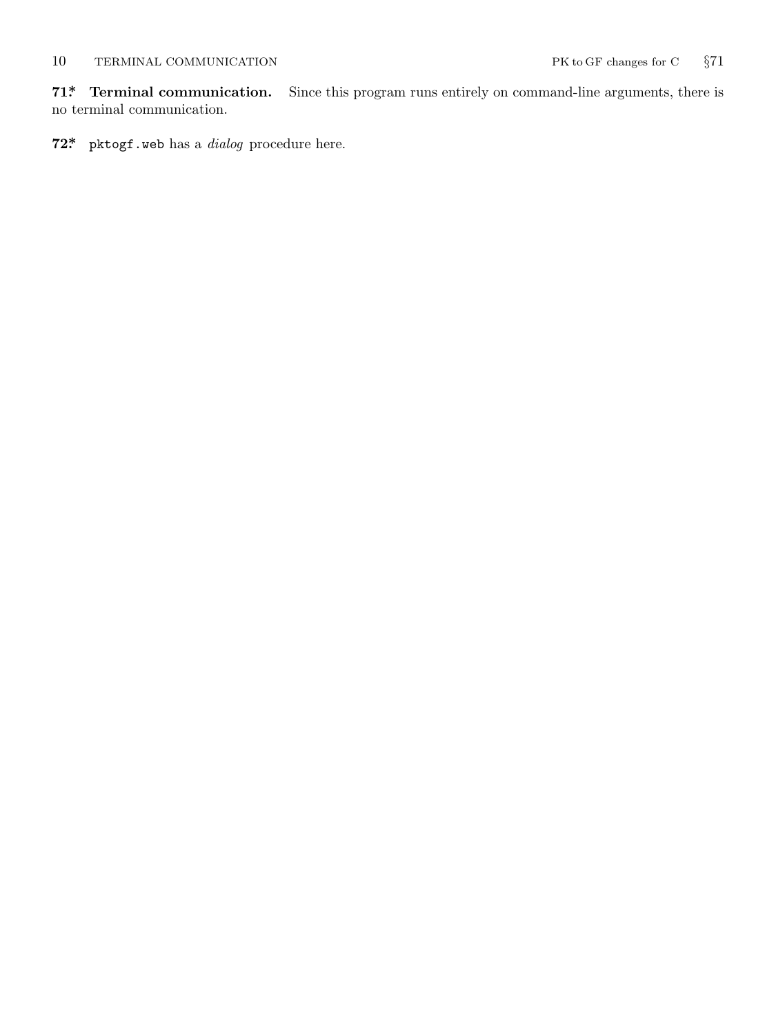<span id="page-9-0"></span>**71\*. Terminal communication.** Since this program runs entirely on command-line arguments, there is no terminal communication.

**72\*.** pktogf.web has a *dialog* procedure here.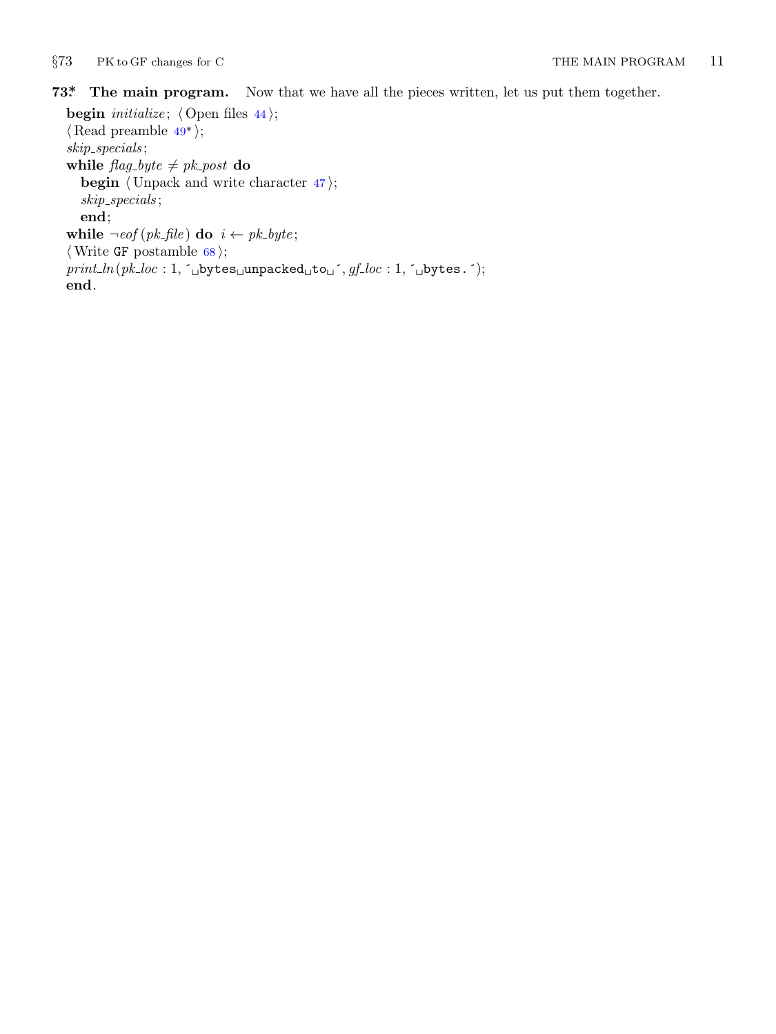<span id="page-10-0"></span>*§*73 PK to GF changes for C THE MAIN PROGRAM 11

# **73\*. The main program.** Now that we have all the pieces written, let us put them together.

**begin** *initialize*;  $\langle$  Open files 44 $\rangle$ ; *⟨* Read preamble 49\* *⟩*; *skip specials* ; **while**  $\text{flag\_byte} \neq \text{pk\_post}$  **do begin** *⟨* Unpack and write character 47 *⟩*; *skip specials* ; **end**; **while**  $\neg \textit{eof}$  ( $pk\textit{file}$ ) **do**  $i \leftarrow pk\textit{.}byte;$ *⟨*Write GF postamble 68 *⟩*;  $print\_ln(pk\_loc: 1, \lceil \text{yb} \text{ytes\_unpackage}_\text{u} \rceil, gf\_loc: 1, \lceil \text{yb} \text{ytes.} \rceil);$ **end**.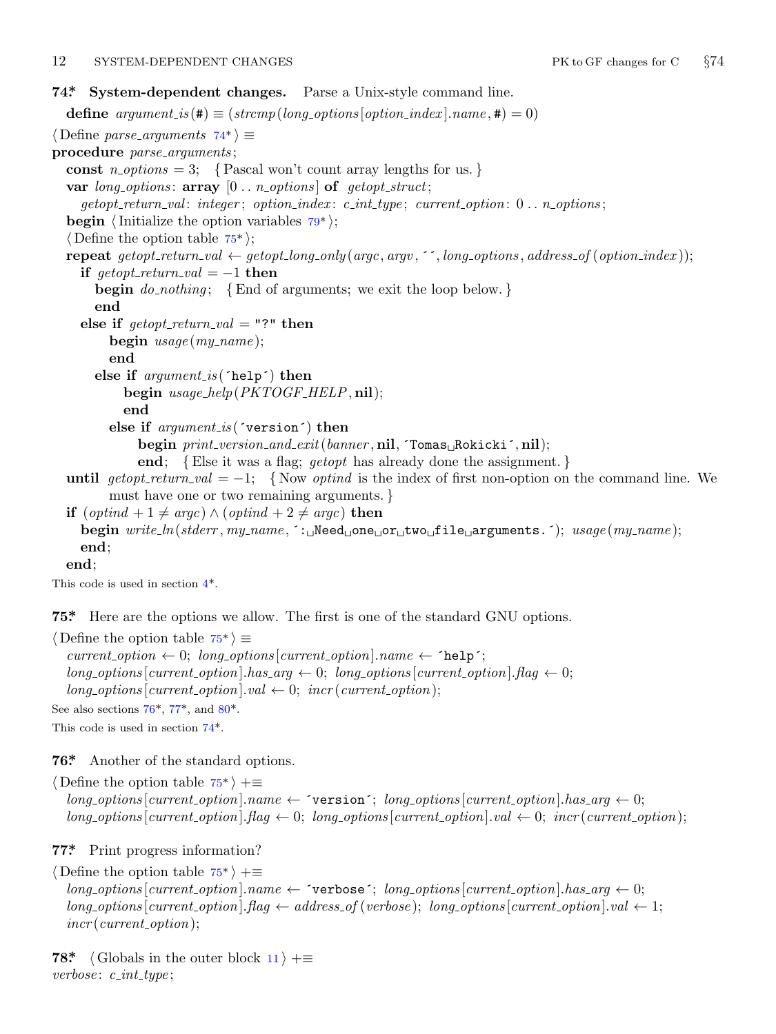# <span id="page-11-0"></span>12 SYSTEM-DEPENDENT CHANGES PK to GF changes for C *§*74

# **74\*. System-dependent changes.** Parse a Unix-style command line.

**define**  $argument_is(\textbf{\#}) \equiv (stromp(long-options[option_index].name, \textbf{\#}) = 0)$  $argument_is(\textbf{\#}) \equiv (stromp(long-options[option_index].name, \textbf{\#}) = 0)$  $argument_is(\textbf{\#}) \equiv (stromp(long-options[option_index].name, \textbf{\#}) = 0)$ *⟨* Define *parse arguments* 74\* *⟩ ≡* **procedure** *parse arguments* ; const  $n\_options = 3$ ;  $\{ Pascal won't count array lengths for us.\}$ **var** *long options* : **array** [0 *. . n options* ] **of** *getopt struct*; *getopt return val* : *integer* ; *option index* : *c int type* ; *current option*: 0 *. . n options* ; **begin** *⟨*Initialize the option variables 79\* *⟩*; *⟨* Define the option table 75\* *⟩*; **repeat**  $qetopt\_return\_val \leftarrow qetopt\_long\_only(argc, argv, \text{''}, long\_options, address\_of(option\_index));$ **if**  $qetopt\_return\_val = -1$  **then begin** *do nothing* ; *{*End of arguments; we exit the loop below. *}* **end else if**  $\text{getopt\_return\_val} = "?"$  **then begin** *usage* (*my name* ); **end else if** *argument is* (´help´) **then begin** *usage help*(*PKTOGF HELP,* **nil**); **end else if** *argument is* (´version´) **then begin** *print version and exit*(*banner ,* **nil***,* ´Tomas␣Rokicki´*,* **nil**); **end**; *{*Else it was a flag; *getopt* has already done the assignment. *}* **until**  $getopt\_return\_val = -1$  $getopt\_return\_val = -1$  $getopt\_return\_val = -1$ ; {Now *optind* is the index of first non-option on the command line. We must have one or two remaining arguments. *}* **if**  $(\text{optind} + 1 \neq \text{argc}) \land (\text{optind} + 2 \neq \text{argc})$  **then begin** *write ln*(*stderr , my name ,* ´:␣Need␣one␣or␣two␣file␣arguments.´); *usage* (*my name* ); **end**;

**end**;

This code is used in section 4\*.

**75\*.** Here are the options [w](#page-12-0)e allow. The first is one of the standard GNU options.

*⟨* Define the option table 75\* *⟩ ≡*

 $current\_option \leftarrow 0; long\_options[current\_option].name \leftarrow 'help';$  $long-options[current\_option].has_2arg \leftarrow 0; long_2options[current\_option].flag \leftarrow 0;$  $long\_\textit{options}$  [*current\_option*]*.val*  $\leftarrow$  0; *incr* (*current\_option*); See also sections  $76^*$ ,  $77^*$ , and  $80^*$ .

This code is used in section 74\*.

**76\*.** Another of the standard options.

*⟨* Define the option table 75\* *⟩* +*≡*  $long-options[current\_option].name \leftarrow 'version'; long\_options[current\_option].has\_arg \leftarrow 0;$  $long\_options[current\_option]$ .  $flag \leftarrow 0$ ;  $long\_options[current\_option]$ .  $val \leftarrow 0$ ;  $incr(current\_option)$ ;

**77\*.** Print progress information?

*⟨* Define the option table 75\* *⟩* +*≡*  $long\_options[current\_option].name \leftarrow 'verpose'; long\_options[current\_option].has\_arg \leftarrow 0;$  $long-options$  [*current\_option*]*.flag*  $\leftarrow$  *address\_of* (*verbose*); *long\_options* [*current\_option*]*.val*  $\leftarrow$  1; *incr* (*current option*);

**78\***  $\langle$  Globals in the outer block  $11$   $\rangle$  += *verbose* : *c int type* ;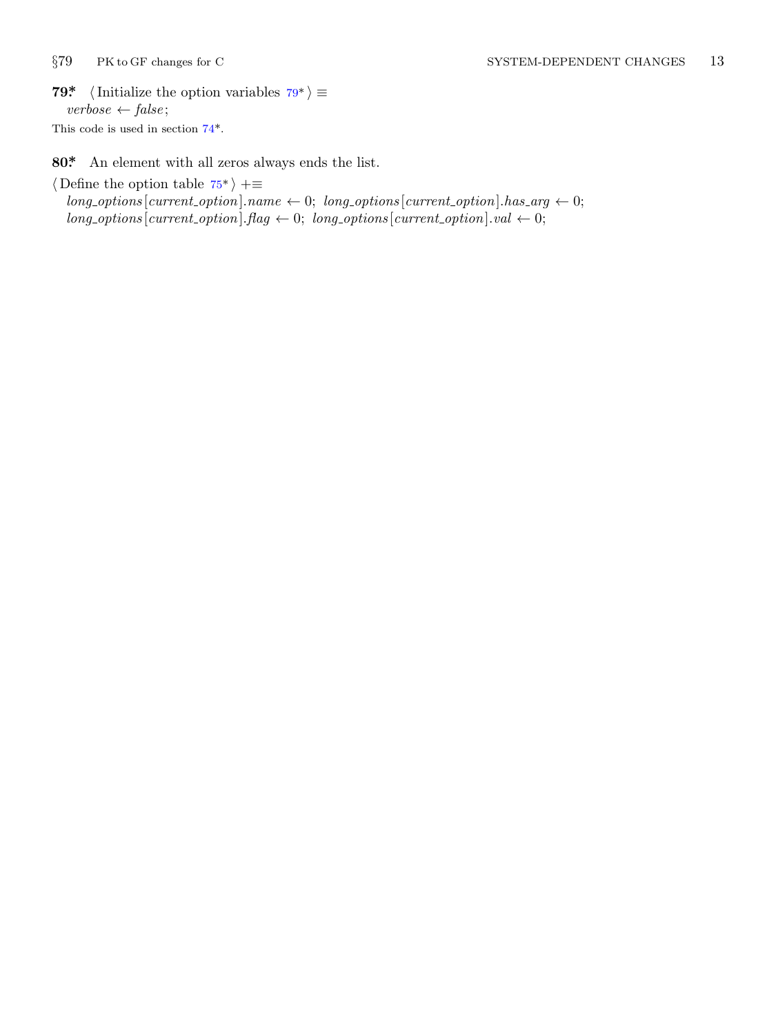<span id="page-12-0"></span>

**79\***  $\langle$  Initialize the opti[on](#page-11-0) variables  $79^*$   $\equiv$ *verbose ← false* ; This code is used in section 74\*.

**80\*.** An element with all zeros always ends the list.

*⟨* Define the option table 75\* *⟩* +*≡*

 $long\_options$  [*current\_option*]*.name*  $\leftarrow 0$ ; *long\_options* [*current\_option*]*.has\_arg*  $\leftarrow 0$ ;  $long\_options[current\_option]$ *.flag*  $\leftarrow 0$ ; *long\_options* [*current\_option*]*.val*  $\leftarrow 0$ ;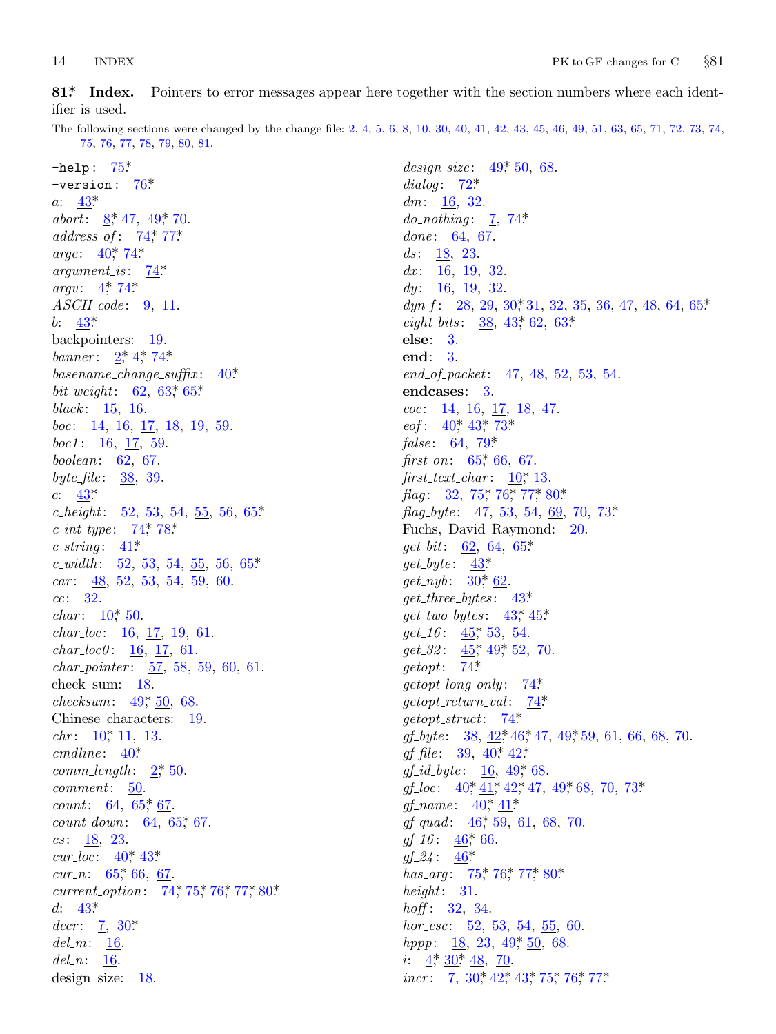<span id="page-13-0"></span>**81\*. Index[.](#page-11-0)** Pointers to error messages appear here together w[i](#page-9-0)th the section numbers where each identifier [is](#page-5-0) u[se](#page-1-0)d.

The following s[ecti](#page-11-0)[o](#page-7-0)[ns w](#page-11-0)ere changed by the change file: 2, 4, 5, 6, 8, 10, 30, 40, 41, 42, [43](#page-11-0), 45, 46, 49, 51, 63, 65, 71, 72, 73, 74, 75, [76](#page-4-0), [77,](#page-11-0) 78, 79, 80, 81.

*design size* : 49\*, 50, 68.

−help : 75\*. −versi[on](#page-1-0) [:](#page-11-0) 76\*. *a*: 43\*. *abo[rt](#page-5-0)*: 8,\* 47, 49,\* 70. *address of* : 74\*, 77\*. argc:  $40^*$ , 74\* *argument is* : 74\*. *argv*:  $4, 74$ \* *ASCII code* : 9, 11. *b*:  $43^*$ backpointers: 19. *banner* :  $2^*$ , 4\*, 74\* *basename change suffix* : 40\*. *bit\_[wei](#page-5-0)ght*: 62, 63\*, 65\*. *black* : 15, 16. *boc*: 14, 16, [1](#page-11-0)7, [1](#page-11-0)8, 19, 59. *boc1* : 16, [17](#page-4-0), 59. *boolean*: 62, 67. *byte file* : 38, 39. *c*: 43\*. *c height*[:](#page-2-0) 52, 53, 54, 55, 56, 65\*. *c int type* : 74\*, 78\*. *c string* : 41\*. *c width* : 52, 53, 54, 55, 56, 65\*. *car* : 48, 52, 53, 54, 59, 60. *cc*: 32. *char*:  $10^*$ , 50. *char l[oc](#page-2-0)*: 16, 17, 19, 61. *char loc0* : [1](#page-4-0)6, 17, 61. *char pointer* : [57](#page-1-0), 58, 59, 60, 61. check sum: 18. *checksum*: 49, 50, 68. Chinese character[s:](#page-8-0) 19. *chr*:  $10^*$  11, 13. *cmdline* : [4](#page-4-0)0[\\*](#page-5-0). *comm le[ngt](#page-8-0)h* : 2\*, 50. *comment*: 50. *cou[nt](#page-5-0)*: 64, 65, 67. *cou[n](#page-3-0)t\_down*: 64, 65\*, 67. *cs* : 18, 23.  $cur\_loc: 40^*43^*$ *cur\_n*: 65,\* 66, 67. *current\_option*: 74, 75, 76, 77, 80\* *d*:  $43^*$  $decr: \underline{7}, 30^*$  $del_m: \underline{16}$ . *del n*: 16. design size: 18.

*dialog* : 72\*. *dm*: 16, 32. *do\_nothing*:  $\frac{7}{2}$ , [74](#page-5-0)\* done: 64, 67. ds: 18, 23. *dx* : 16, 19, 32. *dy* : 16, 19, 32. *dyn\_f* : 28, 29, 30, 31, 32, 35, 36, 47, 48, 64, 65\* *eight\_[bits](#page-4-0)*: [3](#page-5-0)[8,](#page-10-0) 43\*, 62, 63\*. **else**: 3. **end**: 3. *end of packet*: [47,](#page-2-0) 48, 52, 53, 54. **endcases**: [3](#page-11-0). *eoc*: 14, 16, 17, 18, 47. *eof* : 40<sup>\*</sup>, 43<sup>\*</sup>, 73<sup>\*</sup> *false* : 64, 79\*. *first\_on*:  $65*66$ , 67. *first\_text\_c[ha](#page-3-0)r* :  $10$ <sup>\*</sup>, 13. flag: 32, [7](#page-5-0)5,\* 76,\* 77,\* 80\*. *flag byte* : 47, [53,](#page-5-0) [54,](#page-6-0) 69, 70, 73\*. Fuchs, D[avi](#page-6-0)d Raymond: 20. *get bit*: [62](#page-6-0), [64](#page-7-0), 65\*. *get byte* : [4](#page-11-0)3\*. *get nyb* : 30\*, 62. *get three bytes* : 43[\\*.](#page-11-0) *get two bytes* : [43](#page-11-0)\*, 45\*.  $get_1 6$ :  $45^*$  [53,](#page-4-0) [54](#page-6-0).  $get\_32$ :  $45^*$ ,  $49^*$  $49^*$ , [52](#page-4-0), 70. *getopt*: 74\*. *getopt l[ong](#page-4-0) [onl](#page-4-0)y* [:](#page-4-0) 74\*. *getopt retu[rn](#page-4-0) v[al](#page-4-0)* : 74\*. *getopt str[uct](#page-6-0)*: 74\*. *gf\_byte* : [3](#page-6-0)8,  $\frac{42}{36}$   $46$ ,  $47$ ,  $49$ ,  $59$ , 61, 66, 68, 70.  $gf_{\!\perp} f \! f \! l \! e$ : [39](#page-6-0), 40<sup>\*</sup>, 42<sup>\*</sup> *gf id byte* : [16,](#page-11-0) 4[9\\*,](#page-11-0) 6[8.](#page-12-0) *gf<sub>-loc</sub>*: 40<sup>\*</sup>, 41<sup>\*</sup>, 42<sup>\*</sup>, 47<sup>\*</sup>, 49<sup>\*</sup>, 68<sup>\*</sup>, 70<sup>\*</sup>, 73<sup>\*</sup>  $gf_name: 40^*41^*$ *gf quad* : 46\*, 59, 61, 68, 70.  $gf_1 16$ : 46<sup>\*</sup>, 66.  $gf_224: 46^*$  $gf_224: 46^*$  $gf_224: 46^*$  $gf_224: 46^*$  $gf_224: 46^*$ *has\_arg*: [75](#page-3-0),\* [76](#page-4-0),\* [77](#page-5-0),\* [80\\*](#page-11-0). *height*: 31. *hoff* : 32, 34. *hor esc*: 52, 53, 54, 55, 60. *hppp*: <u>18</u>, 23, 49, 50, 68. *i*:  $4$ <sup>\*</sup>,  $30$ <sup>\*</sup>,  $48$ , 70. *incr* : 7, 30, 42, 43, 75, 76, 77\*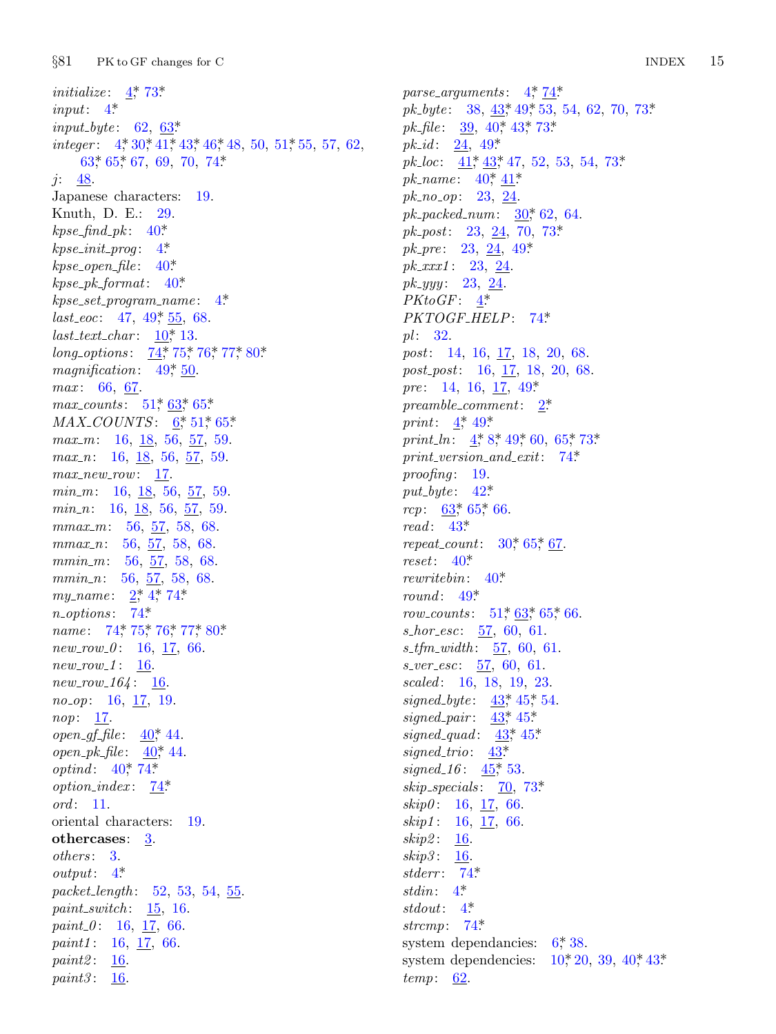*§*81 [PK t](#page-8-0)o GF changes f[or C](#page-11-0) INDEX 15

*initialize* :  $4 \frac{4}{5} 73$ *input*: 4\*. *input byte* : 6[2,](#page-4-0) 63\*. *integer* :  $4^*30^*41^*43^*46^*48$  $4^*30^*41^*43^*46^*48$  $4^*30^*41^*43^*46^*48$ , 50, 51<sup>\*</sup>, 55, 57, 62,  $63^*$  65\*, 67, [69](#page-4-0), 70, 74\* *j*: 48. Japanese characters: 19. Knuth, D. E.[:](#page-7-0) 29.  $k$ *pse\_find\_pk* :  $40^*$ .  $k$ *pse\_init\_prog*:  $4^*$  $4^*$ . *kpse open file* : [40](#page-7-0)\*. *kpse pk format*: 40\*. *kpse set progr[am](#page-7-0) [nam](#page-7-0)e* [:](#page-8-0) 4\*. *last\_eoc*: 47, 49<sup>\*</sup>, [55](#page-1-0), [68](#page-7-0).  $last\_text\_char: 10^*$  13. *long\_options*: 74\*, 75\*, 76\*, 77\*, 80\*. *magnification*:  $49, 50$ . *max* : 66, 67. *max\_counts* : 51,\* 63,\* 65.\* *MAX\_COUNTS*: 6,\*51,\*65.\* *max\_m*: 16, 18, 56, 57, 59. *max n*: 16, 18, 56, 57, 59. *max new row*: 17. *min\_m*: 16[,](#page-1-0) <u>18</u>, [56,](#page-11-0) 57, 59. *min<sub>-</sub>n*: 16, [18](#page-11-0), 56, 57, 59. *mmax m*[:](#page-11-0) [56,](#page-11-0) [57,](#page-11-0) [58,](#page-11-0) [68.](#page-12-0) *mmax n*: 56, 57, 58, 68. *mmin\_m*: 56, 57, 58, 68. *mmin<sub>-1</sub>*: 56, 57, 58, 68. *my\_name* : 2,\* 4,\* 74.\* *n options* : 74\*. *name* : 74, 75, 76, 77, 80\* *new row 0* : [16,](#page-4-0) 17, 66. *new row 1* [:](#page-4-0) [16.](#page-11-0) *new row 164* : [16](#page-11-0). *no op*: 16, 17, 19. *nop*: 17. *open\_qf\_file* :  $40^*$ , 44. *open pk file* : 40\*, 44. *optind*:  $40^{\circ}$  $40^{\circ}$ , 74\* *option index* : 74\*. *ord* : 11. oriental characters: 19. **othercases**: 3. *others* : 3. *output*: 4\*. *packet length* : 52, 53, 54, 55. *paint switch* : 15, 16.  $paint_0: 16, 17, 66.$ *paint1* : 16, <u>17</u>, 66. *paint2* : 16. *paint3* : 16.

*parse arguments* : 4\*, 74\*. *pk\_byte* : 38,  $\frac{43}{49}$ , 49, 53, 54, 62, 70, 73\*. *pk\_file* : 39, 40\*, 43\*, [73\\*.](#page-10-0) *pk id* : 24, 49\*. *pk loc*:  $\underline{41}$ <sup>\*</sup>,  $\underline{43}$ <sup>\*</sup>, 47, 52, 53, 54, 73<sup>\*</sup>  $pk\_name: 40^*_{14}$ *pk no op*: [23](#page-1-0), 24. *pk packed num*: 3[0\\*,](#page-11-0) 62, 64. *pk post*: 23, 24, 70, 73\*. *pk pre* : 23, 24, 49\*. *pk xxx1* : 23, 24. *pk yyy* : 23, 24. *PKtoGF* : 4\*. *PKTO[GF](#page-1-0) [HE](#page-7-0)LP*: 7[4\\*.](#page-1-0) *pl* : 32. *post*: 14, 16, 17, 18, 2[0,](#page-11-0) 68. *post post*: 16, 17, 18, 20, 68. *pre*: 14, [16,](#page-4-0) 17, 49\* *pream[ble](#page-7-0) [com](#page-8-0)ment*: 2\*. *print*:  $4^*$ , 49\* *print\_ln*: <u>4</u>\*, 8\*, [49](#page-3-0)\*, [60](#page-8-0), 65\*, 73\*. *print v[ersi](#page-4-0)on and exit*: 74\*. *proofing* : 1[9.](#page-4-0) *put byte* : [4](#page-7-0)2\*. *rcp*:  $63$ <sup>\*</sup>, 65<sup>\*</sup>, [66](#page-7-0). *read* : 43\*. *repeat\_count*:  $30^*$ , 65<sup>\*</sup>, 67. *reset*: 40\*. *rewritebin*: 40\*. *round* : 49\* *row\_counts* :  $51^*$ ,  $63^*$ ,  $65^*$ , 66. *s hor esc*: 57, [6](#page-5-0)0, [6](#page-6-0)1. *s tfm width* : [57](#page-5-0), 60, 61. *s ver esc*: [57,](#page-6-0) 60, 61. *scaled* : 16, 18, 1[9,](#page-10-0) 23. *signed\_byte*:  $43^*$ , 45<sup>\*</sup>, 54. *signed pair* : 43\*, 45\*. *signed quad* : 43\*, 45\*. *signed trio*: 43\*. *signed*  $16: \frac{45}{50}$  $16: \frac{45}{50}$  $16: \frac{45}{50}$ , 53. *skip spe[ci](#page-1-0)als* : 70, 73\*. *skip0* : [16](#page-1-0), 17, 66. *skip1* : 1[6,](#page-11-0) 17, 66. *skip2* : 16. *skip3* : 16. *stderr* : 74\*. *stdin*: 4\*. *stdout*: 4\*. *strcmp*: 74\*. system dependancies:  $6^*38$ . system dependencies:  $10^*20$ , 39, 40 $*43^*$ . *temp*: 62.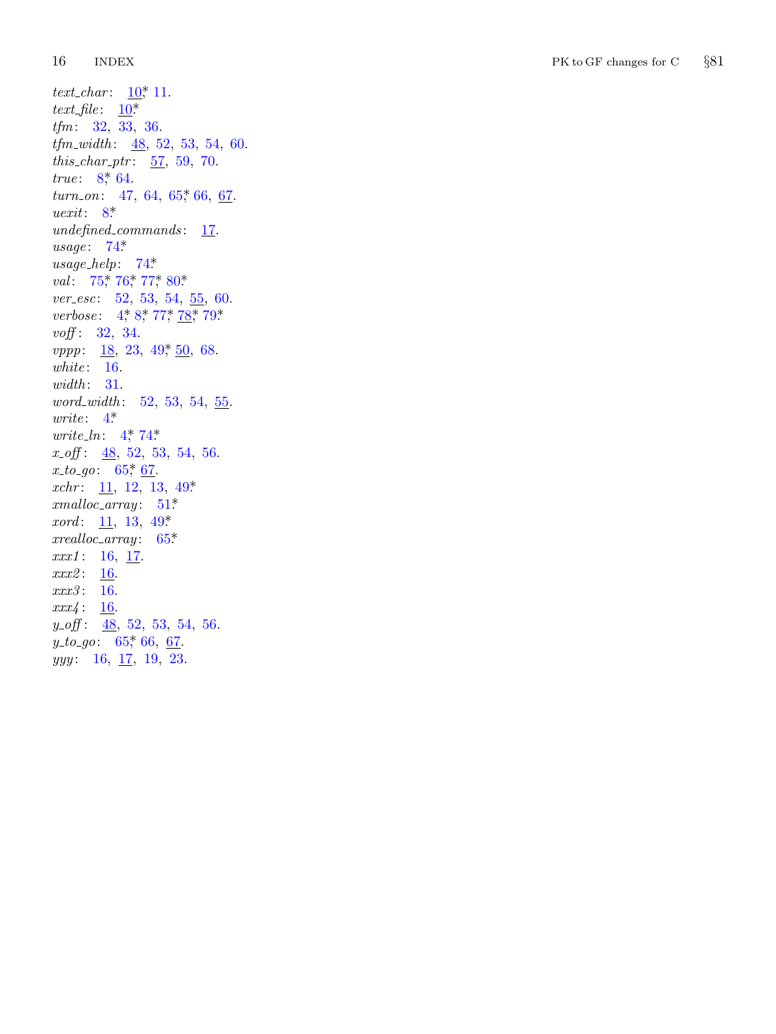16 [IN](#page-1-0)DEX PK to GF changes for C *§*81

*text\_char*:  $\frac{10}{10}$ , 11[.](#page-8-0)  $text_{file}:$  $text_{file}:$   $\underline{10}^*$ *tfm*: 32, 33, 36. *tfm\_widt[h](#page-11-0)*: <u>48</u>, 52, 53, 54, 60. *this\_char\_ptr*:  $\frac{57}{57}$ , 59, 70. *true*: [8](#page-11-0), [64](#page-11-0). *turn\_on*: 47, 64, 65, 66, 67. *uexit*: 8[\\*](#page-1-0) *undefined\_commands*: 17. *usage* : 74\*. *usage help* : 74\*. *val*: 75,\* 76,\* 77,\* 80.\* *ver\_esc*: 52, 53, 54, 55, 60. *verbose*: 4, 8, 77, 78, 79\* *voff* : 32 , [3](#page-1-0)4 [.](#page-11-0) *vppp*: <u>18</u>, 23, 49, 50, 68. white: 16[.](#page-8-0) *width* : 31 . *word\_width*: [5](#page-7-0)2, 53, 54, 55. *write* : 4\*. *write\_ln*: 4, 74\* *x off*: <u>48</u>, 52, 53, 54, 56. *x*<sub>-to-go: 65<sup>\*</sup>, 67.</sub> *xchr*: <u>11</u>, 12, 13, 49\* *xmalloc array* : 51\*. *xord*: 11, 13, 49\*. *xrealloc a[rray](#page-8-0)* : 65\*. *xxx1*: 16, 17. *xxx2*: <u>16</u>. *xxx3* : 16 .  $xxx4: 16$ . *y*<sub>-</sub>*off*: <u>48</u>, 52, 53, 54, 56. *y*<sub>-to-go</sub>: 65,\* 66, <u>67</u>. *yyy*: 16, <u>17</u>, 19, 23.